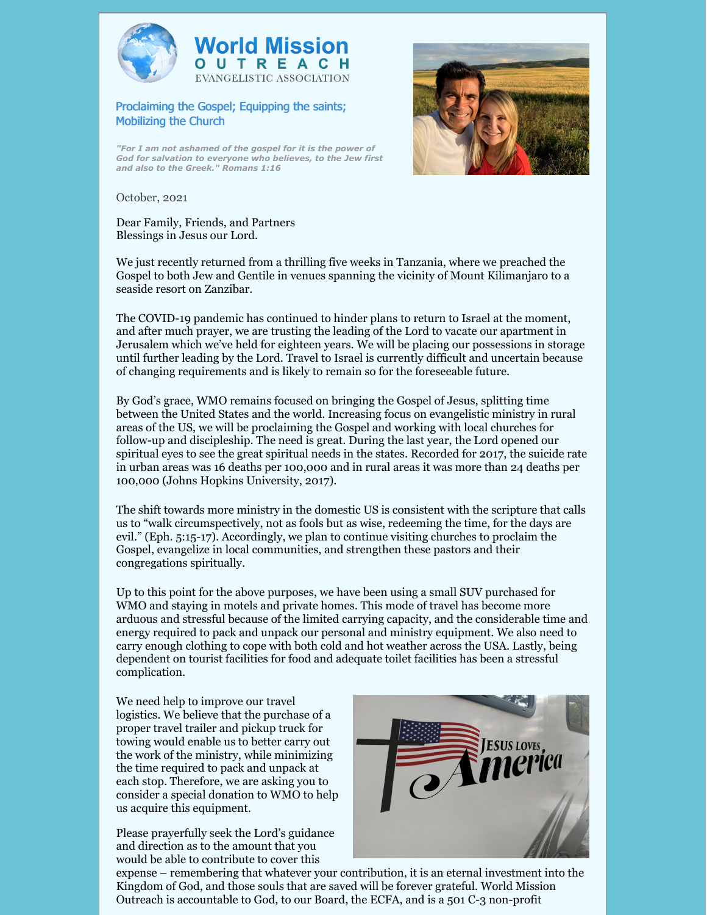



Proclaiming the Gospel; Equipping the saints; Mobilizing the Church

*"For I am not ashamed of the gospel for it is the power of God for salvation to everyone who believes, to the Jew first and also to the Greek." Romans 1:16*



October, 2021

Dear Family, Friends, and Partners Blessings in Jesus our Lord.

We just recently returned from a thrilling five weeks in Tanzania, where we preached the Gospel to both Jew and Gentile in venues spanning the vicinity of Mount Kilimanjaro to a seaside resort on Zanzibar.

The COVID-19 pandemic has continued to hinder plans to return to Israel at the moment, and after much prayer, we are trusting the leading of the Lord to vacate our apartment in Jerusalem which we've held for eighteen years. We will be placing our possessions in storage until further leading by the Lord. Travel to Israel is currently difficult and uncertain because of changing requirements and is likely to remain so for the foreseeable future.

By God's grace, WMO remains focused on bringing the Gospel of Jesus, splitting time between the United States and the world. Increasing focus on evangelistic ministry in rural areas of the US, we will be proclaiming the Gospel and working with local churches for follow-up and discipleship. The need is great. During the last year, the Lord opened our spiritual eyes to see the great spiritual needs in the states. Recorded for 2017, the suicide rate in urban areas was 16 deaths per 100,000 and in rural areas it was more than 24 deaths per 100,000 (Johns Hopkins University, 2017).

The shift towards more ministry in the domestic US is consistent with the scripture that calls us to "walk circumspectively, not as fools but as wise, redeeming the time, for the days are evil." (Eph. 5:15-17). Accordingly, we plan to continue visiting churches to proclaim the Gospel, evangelize in local communities, and strengthen these pastors and their congregations spiritually.

Up to this point for the above purposes, we have been using a small SUV purchased for WMO and staying in motels and private homes. This mode of travel has become more arduous and stressful because of the limited carrying capacity, and the considerable time and energy required to pack and unpack our personal and ministry equipment. We also need to carry enough clothing to cope with both cold and hot weather across the USA. Lastly, being dependent on tourist facilities for food and adequate toilet facilities has been a stressful complication.

We need help to improve our travel logistics. We believe that the purchase of a proper travel trailer and pickup truck for towing would enable us to better carry out the work of the ministry, while minimizing the time required to pack and unpack at each stop. Therefore, we are asking you to consider a special donation to WMO to help us acquire this equipment.

Please prayerfully seek the Lord's guidance and direction as to the amount that you would be able to contribute to cover this



expense – remembering that whatever your contribution, it is an eternal investment into the Kingdom of God, and those souls that are saved will be forever grateful. World Mission Outreach is accountable to God, to our Board, the ECFA, and is a 501 C-3 non-profit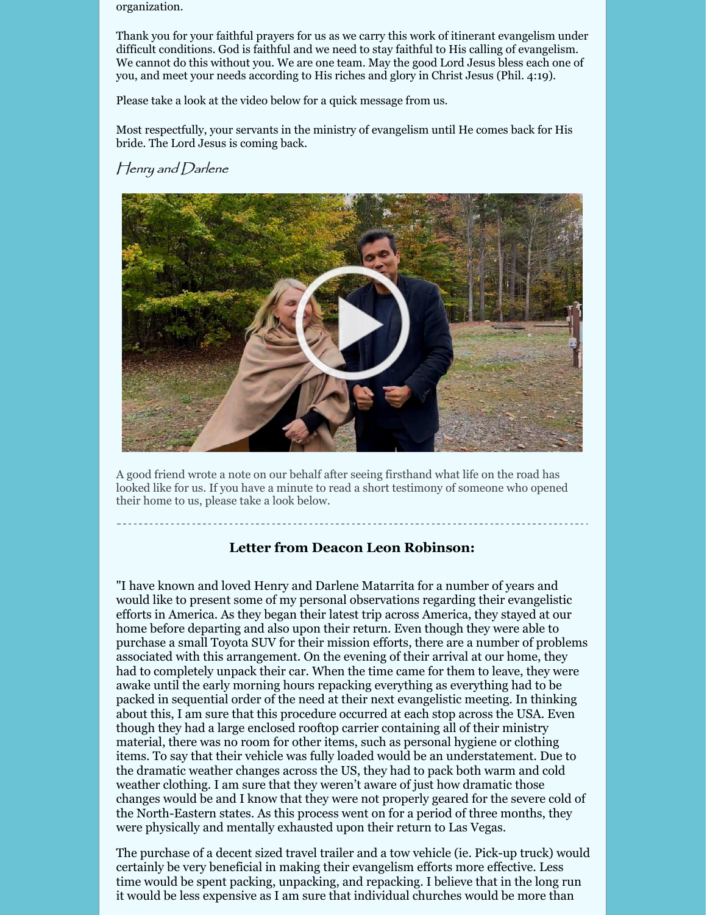organization.

Thank you for your faithful prayers for us as we carry this work of itinerant evangelism under difficult conditions. God is faithful and we need to stay faithful to His calling of evangelism. We cannot do this without you. We are one team. May the good Lord Jesus bless each one of you, and meet your needs according to His riches and glory in Christ Jesus (Phil. 4:19).

Please take a look at the video below for a quick message from us.

Most respectfully, your servants in the ministry of evangelism until He comes back for His bride. The Lord Jesus is coming back.

## Henry and Darlene



A good friend wrote a note on our behalf after seeing firsthand what life on the road has looked like for us. If you have a minute to read a short testimony of someone who opened their home to us, please take a look below.

## **Letter from Deacon Leon Robinson:**

"I have known and loved Henry and Darlene Matarrita for a number of years and would like to present some of my personal observations regarding their evangelistic efforts in America. As they began their latest trip across America, they stayed at our home before departing and also upon their return. Even though they were able to purchase a small Toyota SUV for their mission efforts, there are a number of problems associated with this arrangement. On the evening of their arrival at our home, they had to completely unpack their car. When the time came for them to leave, they were awake until the early morning hours repacking everything as everything had to be packed in sequential order of the need at their next evangelistic meeting. In thinking about this, I am sure that this procedure occurred at each stop across the USA. Even though they had a large enclosed rooftop carrier containing all of their ministry material, there was no room for other items, such as personal hygiene or clothing items. To say that their vehicle was fully loaded would be an understatement. Due to the dramatic weather changes across the US, they had to pack both warm and cold weather clothing. I am sure that they weren't aware of just how dramatic those changes would be and I know that they were not properly geared for the severe cold of the North-Eastern states. As this process went on for a period of three months, they were physically and mentally exhausted upon their return to Las Vegas.

The purchase of a decent sized travel trailer and a tow vehicle (ie. Pick-up truck) would certainly be very beneficial in making their evangelism efforts more effective. Less time would be spent packing, unpacking, and repacking. I believe that in the long run it would be less expensive as I am sure that individual churches would be more than